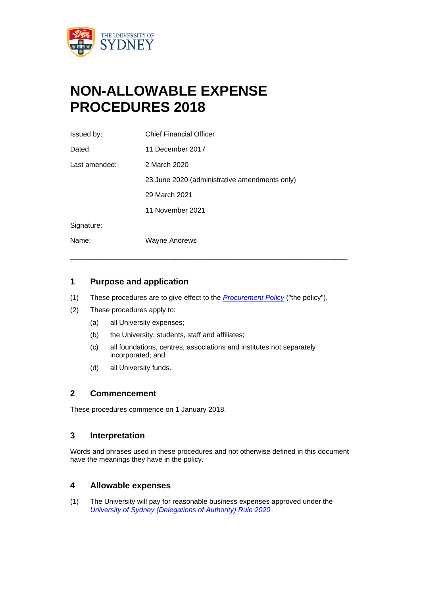

# **NON-ALLOWABLE EXPENSE PROCEDURES 2018**

| Issued by:    | <b>Chief Financial Officer</b>                |
|---------------|-----------------------------------------------|
| Dated:        | 11 December 2017                              |
| Last amended: | 2 March 2020                                  |
|               | 23 June 2020 (administrative amendments only) |
|               | 29 March 2021                                 |
|               | 11 November 2021                              |
| Signature:    |                                               |
| Name:         | Wayne Andrews                                 |

## **1 Purpose and application**

(1) These procedures are to give effect to the *[Procurement Policy](http://sydney.edu.au/policies/showdoc.aspx?recnum=PDOC2011/40&RendNum=0)* ("the policy").

 $\_$  ,  $\_$  ,  $\_$  ,  $\_$  ,  $\_$  ,  $\_$  ,  $\_$  ,  $\_$  ,  $\_$  ,  $\_$  ,  $\_$  ,  $\_$  ,  $\_$  ,  $\_$  ,  $\_$  ,  $\_$  ,  $\_$  ,  $\_$  ,  $\_$  ,  $\_$ 

- (2) These procedures apply to:
	- (a) all University expenses;
	- (b) the University, students, staff and affiliates;
	- (c) all foundations, centres, associations and institutes not separately incorporated; and
	- (d) all University funds.

### **2 Commencement**

These procedures commence on 1 January 2018.

#### **3 Interpretation**

Words and phrases used in these procedures and not otherwise defined in this document have the meanings they have in the policy.

#### **4 Allowable expenses**

(1) The University will pay for reasonable business expenses approved under the *[University of Sydney \(Delegations of Authority\) Rule 2020](http://sydney.edu.au/policies/showdoc.aspx?recnum=PDOC2011/72&RendNum=0)*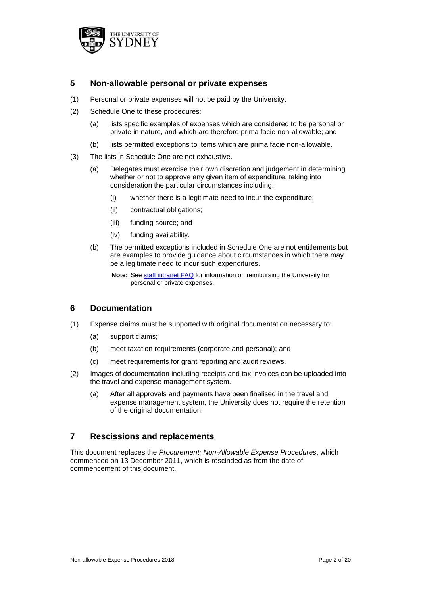

### **5 Non-allowable personal or private expenses**

- (1) Personal or private expenses will not be paid by the University.
- (2) Schedule One to these procedures:
	- (a) lists specific examples of expenses which are considered to be personal or private in nature, and which are therefore prima facie non-allowable; and
	- (b) lists permitted exceptions to items which are prima facie non-allowable.
- (3) The lists in Schedule One are not exhaustive.
	- (a) Delegates must exercise their own discretion and judgement in determining whether or not to approve any given item of expenditure, taking into consideration the particular circumstances including:
		- (i) whether there is a legitimate need to incur the expenditure;
		- (ii) contractual obligations;
		- (iii) funding source; and
		- (iv) funding availability.
	- (b) The permitted exceptions included in Schedule One are not entitlements but are examples to provide guidance about circumstances in which there may be a legitimate need to incur such expenditures.
		- **Note:** See [staff intranet FAQ](https://intranet.sydney.edu.au/services/buying-goods-and-services/expenses-corporate-cards/frequently-asked-questions.html) for information on reimbursing the University for personal or private expenses.

#### **6 Documentation**

- (1) Expense claims must be supported with original documentation necessary to:
	- (a) support claims;
	- (b) meet taxation requirements (corporate and personal); and
	- (c) meet requirements for grant reporting and audit reviews.
- (2) Images of documentation including receipts and tax invoices can be uploaded into the travel and expense management system.
	- (a) After all approvals and payments have been finalised in the travel and expense management system, the University does not require the retention of the original documentation.

### **7 Rescissions and replacements**

This document replaces the *Procurement: Non-Allowable Expense Procedures*, which commenced on 13 December 2011, which is rescinded as from the date of commencement of this document.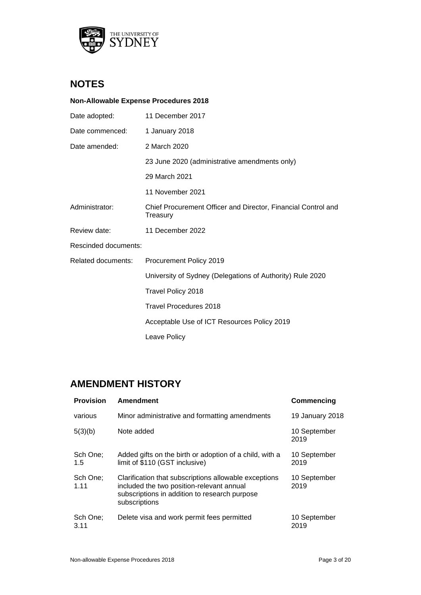

# **NOTES**

#### **Non-Allowable Expense Procedures 2018**

| Date adopted:                                                                               | 11 December 2017                                          |  |  |
|---------------------------------------------------------------------------------------------|-----------------------------------------------------------|--|--|
| Date commenced:                                                                             | 1 January 2018                                            |  |  |
| Date amended:                                                                               | 2 March 2020                                              |  |  |
|                                                                                             | 23 June 2020 (administrative amendments only)             |  |  |
|                                                                                             | 29 March 2021                                             |  |  |
|                                                                                             | 11 November 2021                                          |  |  |
| Administrator:<br>Chief Procurement Officer and Director, Financial Control and<br>Treasury |                                                           |  |  |
| Review date:                                                                                | 11 December 2022                                          |  |  |
| Rescinded documents:                                                                        |                                                           |  |  |
| Related documents:                                                                          | Procurement Policy 2019                                   |  |  |
|                                                                                             | University of Sydney (Delegations of Authority) Rule 2020 |  |  |
|                                                                                             | Travel Policy 2018                                        |  |  |
|                                                                                             | <b>Travel Procedures 2018</b>                             |  |  |
|                                                                                             | Acceptable Use of ICT Resources Policy 2019               |  |  |
|                                                                                             | Leave Policy                                              |  |  |

# **AMENDMENT HISTORY**

| <b>Provision</b> | <b>Amendment</b>                                                                                                                                                     | Commencing           |
|------------------|----------------------------------------------------------------------------------------------------------------------------------------------------------------------|----------------------|
| various          | Minor administrative and formatting amendments                                                                                                                       | 19 January 2018      |
| 5(3)(b)          | Note added                                                                                                                                                           | 10 September<br>2019 |
| Sch One:<br>1.5  | Added gifts on the birth or adoption of a child, with a<br>limit of \$110 (GST inclusive)                                                                            | 10 September<br>2019 |
| Sch One;<br>1.11 | Clarification that subscriptions allowable exceptions<br>included the two position-relevant annual<br>subscriptions in addition to research purpose<br>subscriptions | 10 September<br>2019 |
| Sch One;<br>3.11 | Delete visa and work permit fees permitted                                                                                                                           | 10 September<br>2019 |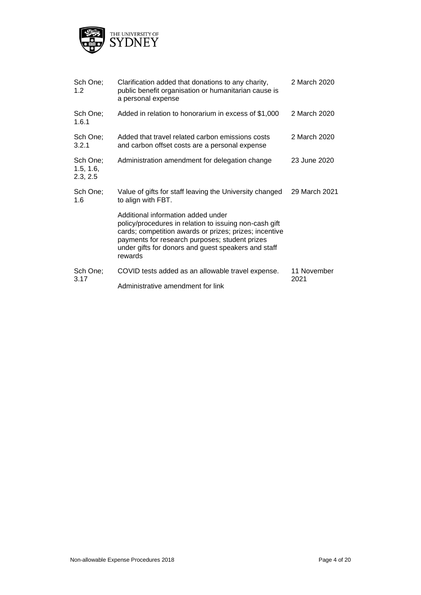

| Sch One;<br>1.2                   | Clarification added that donations to any charity,<br>public benefit organisation or humanitarian cause is<br>a personal expense                                                                                                                                           | 2 March 2020        |
|-----------------------------------|----------------------------------------------------------------------------------------------------------------------------------------------------------------------------------------------------------------------------------------------------------------------------|---------------------|
| Sch One;<br>1.6.1                 | Added in relation to honorarium in excess of \$1,000                                                                                                                                                                                                                       | 2 March 2020        |
| Sch One;<br>3.2.1                 | Added that travel related carbon emissions costs<br>and carbon offset costs are a personal expense                                                                                                                                                                         | 2 March 2020        |
| Sch One;<br>1.5, 1.6,<br>2.3, 2.5 | Administration amendment for delegation change                                                                                                                                                                                                                             | 23 June 2020        |
| Sch One;<br>1.6                   | Value of gifts for staff leaving the University changed<br>to align with FBT.                                                                                                                                                                                              | 29 March 2021       |
|                                   | Additional information added under<br>policy/procedures in relation to issuing non-cash gift<br>cards; competition awards or prizes; prizes; incentive<br>payments for research purposes; student prizes<br>under gifts for donors and guest speakers and staff<br>rewards |                     |
| Sch One;<br>3.17                  | COVID tests added as an allowable travel expense.                                                                                                                                                                                                                          | 11 November<br>2021 |
|                                   | Administrative amendment for link                                                                                                                                                                                                                                          |                     |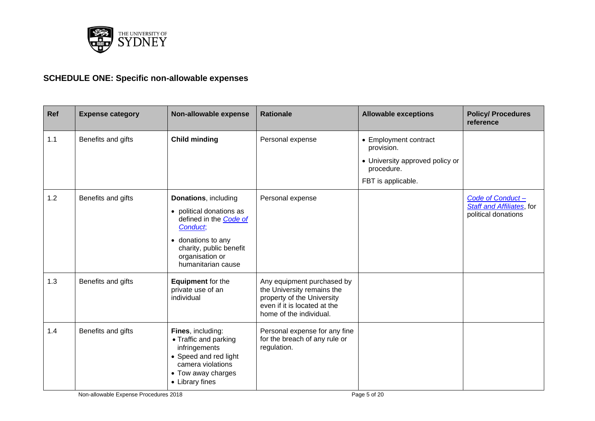

# **SCHEDULE ONE: Specific non-allowable expenses**

| Ref | <b>Expense category</b> | Non-allowable expense                                                                                                                                                            | <b>Rationale</b>                                                                                                                                  | <b>Allowable exceptions</b>                                                                                | <b>Policy/ Procedures</b><br>reference                                       |
|-----|-------------------------|----------------------------------------------------------------------------------------------------------------------------------------------------------------------------------|---------------------------------------------------------------------------------------------------------------------------------------------------|------------------------------------------------------------------------------------------------------------|------------------------------------------------------------------------------|
| 1.1 | Benefits and gifts      | <b>Child minding</b>                                                                                                                                                             | Personal expense                                                                                                                                  | • Employment contract<br>provision.<br>• University approved policy or<br>procedure.<br>FBT is applicable. |                                                                              |
| 1.2 | Benefits and gifts      | Donations, including<br>• political donations as<br>defined in the Code of<br>Conduct,<br>• donations to any<br>charity, public benefit<br>organisation or<br>humanitarian cause | Personal expense                                                                                                                                  |                                                                                                            | Code of Conduct-<br><b>Staff and Affiliates</b> , for<br>political donations |
| 1.3 | Benefits and gifts      | <b>Equipment</b> for the<br>private use of an<br>individual                                                                                                                      | Any equipment purchased by<br>the University remains the<br>property of the University<br>even if it is located at the<br>home of the individual. |                                                                                                            |                                                                              |
| 1.4 | Benefits and gifts      | Fines, including:<br>• Traffic and parking<br>infringements<br>• Speed and red light<br>camera violations<br>• Tow away charges<br>• Library fines                               | Personal expense for any fine<br>for the breach of any rule or<br>regulation.                                                                     |                                                                                                            |                                                                              |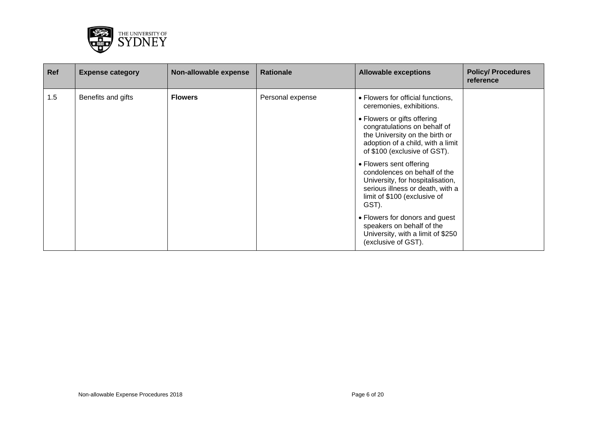

| Ref | <b>Expense category</b> | Non-allowable expense | <b>Rationale</b> | <b>Allowable exceptions</b>                                                                                                                                              | <b>Policy/ Procedures</b><br>reference |
|-----|-------------------------|-----------------------|------------------|--------------------------------------------------------------------------------------------------------------------------------------------------------------------------|----------------------------------------|
| 1.5 | Benefits and gifts      | <b>Flowers</b>        | Personal expense | • Flowers for official functions,<br>ceremonies, exhibitions.                                                                                                            |                                        |
|     |                         |                       |                  | • Flowers or gifts offering<br>congratulations on behalf of<br>the University on the birth or<br>adoption of a child, with a limit<br>of \$100 (exclusive of GST).       |                                        |
|     |                         |                       |                  | • Flowers sent offering<br>condolences on behalf of the<br>University, for hospitalisation,<br>serious illness or death, with a<br>limit of \$100 (exclusive of<br>GST). |                                        |
|     |                         |                       |                  | • Flowers for donors and guest<br>speakers on behalf of the<br>University, with a limit of \$250<br>(exclusive of GST).                                                  |                                        |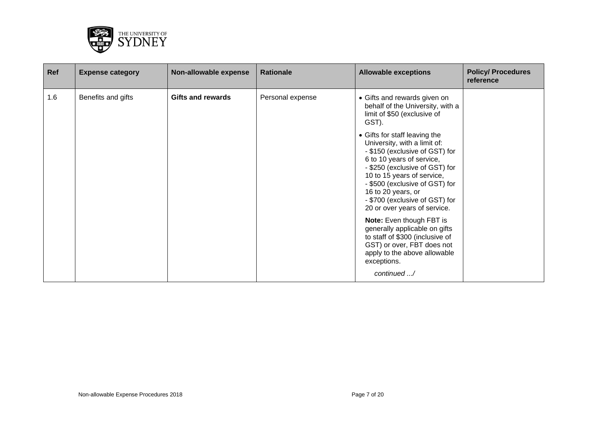

| Ref | <b>Expense category</b> | Non-allowable expense    | <b>Rationale</b> | <b>Allowable exceptions</b>                                                                                                                                                                                                                                                                                                                                                                                                                                                                                                                                                                                                    | <b>Policy/ Procedures</b><br>reference |
|-----|-------------------------|--------------------------|------------------|--------------------------------------------------------------------------------------------------------------------------------------------------------------------------------------------------------------------------------------------------------------------------------------------------------------------------------------------------------------------------------------------------------------------------------------------------------------------------------------------------------------------------------------------------------------------------------------------------------------------------------|----------------------------------------|
| 1.6 | Benefits and gifts      | <b>Gifts and rewards</b> | Personal expense | • Gifts and rewards given on<br>behalf of the University, with a<br>limit of \$50 (exclusive of<br>GST).<br>• Gifts for staff leaving the<br>University, with a limit of:<br>- \$150 (exclusive of GST) for<br>6 to 10 years of service,<br>- \$250 (exclusive of GST) for<br>10 to 15 years of service,<br>- \$500 (exclusive of GST) for<br>16 to 20 years, or<br>- \$700 (exclusive of GST) for<br>20 or over years of service.<br>Note: Even though FBT is<br>generally applicable on gifts<br>to staff of \$300 (inclusive of<br>GST) or over, FBT does not<br>apply to the above allowable<br>exceptions.<br>continued / |                                        |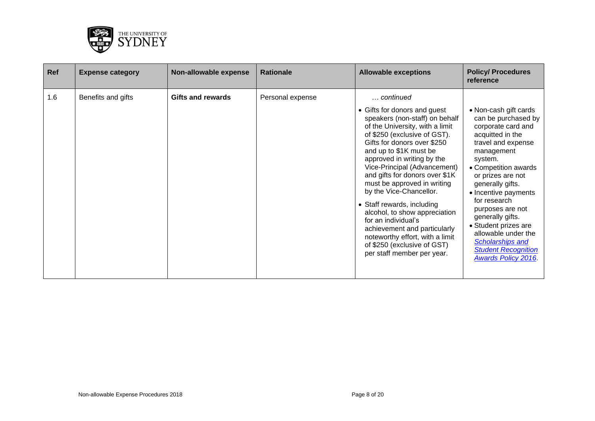

| Ref | <b>Expense category</b> | Non-allowable expense    | <b>Rationale</b> | <b>Allowable exceptions</b>                                                                                                                                                                                                                                                                                                                                                                                                                                                                                                                                                             | <b>Policy/ Procedures</b><br>reference                                                                                                                                                                                                                                                                                                                                                                                      |
|-----|-------------------------|--------------------------|------------------|-----------------------------------------------------------------------------------------------------------------------------------------------------------------------------------------------------------------------------------------------------------------------------------------------------------------------------------------------------------------------------------------------------------------------------------------------------------------------------------------------------------------------------------------------------------------------------------------|-----------------------------------------------------------------------------------------------------------------------------------------------------------------------------------------------------------------------------------------------------------------------------------------------------------------------------------------------------------------------------------------------------------------------------|
| 1.6 | Benefits and gifts      | <b>Gifts and rewards</b> | Personal expense | continued<br>• Gifts for donors and guest<br>speakers (non-staff) on behalf<br>of the University, with a limit<br>of \$250 (exclusive of GST).<br>Gifts for donors over \$250<br>and up to \$1K must be<br>approved in writing by the<br>Vice-Principal (Advancement)<br>and gifts for donors over \$1K<br>must be approved in writing<br>by the Vice-Chancellor.<br>• Staff rewards, including<br>alcohol, to show appreciation<br>for an individual's<br>achievement and particularly<br>noteworthy effort, with a limit<br>of \$250 (exclusive of GST)<br>per staff member per year. | • Non-cash gift cards<br>can be purchased by<br>corporate card and<br>acquitted in the<br>travel and expense<br>management<br>system.<br>• Competition awards<br>or prizes are not<br>generally gifts.<br>• Incentive payments<br>for research<br>purposes are not<br>generally gifts.<br>• Student prizes are<br>allowable under the<br><b>Scholarships and</b><br><b>Student Recognition</b><br><b>Awards Policy 2016</b> |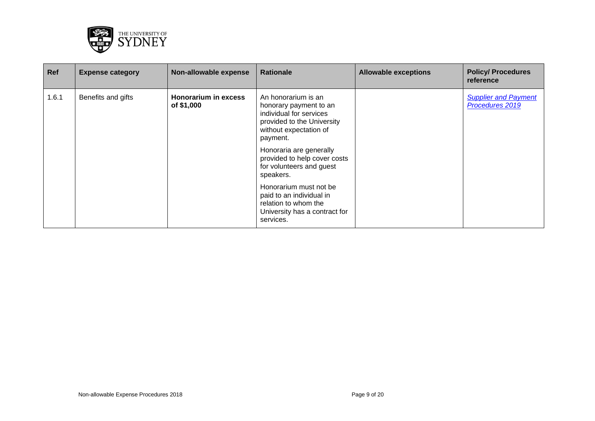

| <b>Ref</b> | <b>Expense category</b> | Non-allowable expense              | <b>Rationale</b>                                                                                                                             | <b>Allowable exceptions</b> | <b>Policy/ Procedures</b><br>reference         |
|------------|-------------------------|------------------------------------|----------------------------------------------------------------------------------------------------------------------------------------------|-----------------------------|------------------------------------------------|
| 1.6.1      | Benefits and gifts      | Honorarium in excess<br>of \$1,000 | An honorarium is an<br>honorary payment to an<br>individual for services<br>provided to the University<br>without expectation of<br>payment. |                             | <b>Supplier and Payment</b><br>Procedures 2019 |
|            |                         |                                    | Honoraria are generally<br>provided to help cover costs<br>for volunteers and guest<br>speakers.                                             |                             |                                                |
|            |                         |                                    | Honorarium must not be<br>paid to an individual in<br>relation to whom the<br>University has a contract for<br>services.                     |                             |                                                |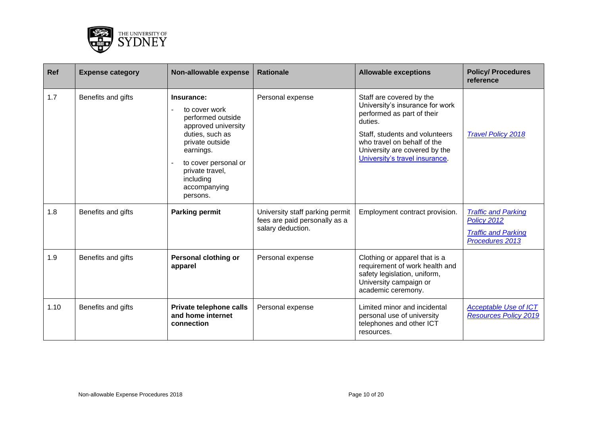

| Ref  | <b>Expense category</b> | Non-allowable expense                                                                                                                                                                                          | <b>Rationale</b>                                                                      | <b>Allowable exceptions</b>                                                                                                                                                                                                              | <b>Policy/ Procedures</b><br>reference                                                     |
|------|-------------------------|----------------------------------------------------------------------------------------------------------------------------------------------------------------------------------------------------------------|---------------------------------------------------------------------------------------|------------------------------------------------------------------------------------------------------------------------------------------------------------------------------------------------------------------------------------------|--------------------------------------------------------------------------------------------|
| 1.7  | Benefits and gifts      | Insurance:<br>to cover work<br>performed outside<br>approved university<br>duties, such as<br>private outside<br>earnings.<br>to cover personal or<br>private travel,<br>including<br>accompanying<br>persons. | Personal expense                                                                      | Staff are covered by the<br>University's insurance for work<br>performed as part of their<br>duties.<br>Staff, students and volunteers<br>who travel on behalf of the<br>University are covered by the<br>University's travel insurance. | <b>Travel Policy 2018</b>                                                                  |
| 1.8  | Benefits and gifts      | <b>Parking permit</b>                                                                                                                                                                                          | University staff parking permit<br>fees are paid personally as a<br>salary deduction. | Employment contract provision.                                                                                                                                                                                                           | <b>Traffic and Parking</b><br>Policy 2012<br><b>Traffic and Parking</b><br>Procedures 2013 |
| 1.9  | Benefits and gifts      | Personal clothing or<br>apparel                                                                                                                                                                                | Personal expense                                                                      | Clothing or apparel that is a<br>requirement of work health and<br>safety legislation, uniform,<br>University campaign or<br>academic ceremony.                                                                                          |                                                                                            |
| 1.10 | Benefits and gifts      | Private telephone calls<br>and home internet<br>connection                                                                                                                                                     | Personal expense                                                                      | Limited minor and incidental<br>personal use of university<br>telephones and other ICT<br>resources.                                                                                                                                     | <b>Acceptable Use of ICT</b><br><b>Resources Policy 2019</b>                               |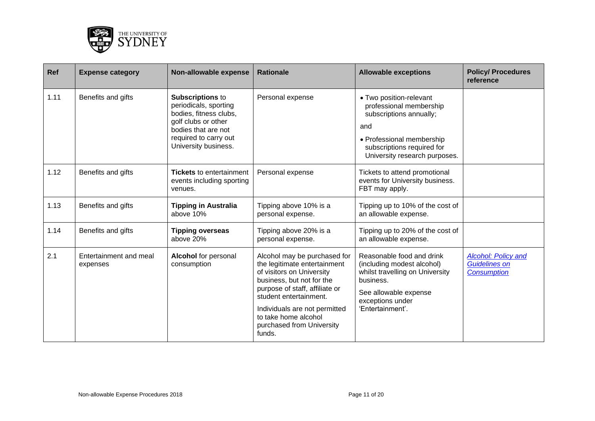

| Ref  | <b>Expense category</b>            | Non-allowable expense                                                                                                                                                     | <b>Rationale</b>                                                                                                                                                                                                                                                                   | <b>Allowable exceptions</b>                                                                                                                                                      | <b>Policy/ Procedures</b><br>reference                                   |
|------|------------------------------------|---------------------------------------------------------------------------------------------------------------------------------------------------------------------------|------------------------------------------------------------------------------------------------------------------------------------------------------------------------------------------------------------------------------------------------------------------------------------|----------------------------------------------------------------------------------------------------------------------------------------------------------------------------------|--------------------------------------------------------------------------|
| 1.11 | Benefits and gifts                 | <b>Subscriptions to</b><br>periodicals, sporting<br>bodies, fitness clubs,<br>golf clubs or other<br>bodies that are not<br>required to carry out<br>University business. | Personal expense                                                                                                                                                                                                                                                                   | • Two position-relevant<br>professional membership<br>subscriptions annually;<br>and<br>• Professional membership<br>subscriptions required for<br>University research purposes. |                                                                          |
| 1.12 | Benefits and gifts                 | <b>Tickets</b> to entertainment<br>events including sporting<br>venues.                                                                                                   | Personal expense                                                                                                                                                                                                                                                                   | Tickets to attend promotional<br>events for University business.<br>FBT may apply.                                                                                               |                                                                          |
| 1.13 | Benefits and gifts                 | <b>Tipping in Australia</b><br>above 10%                                                                                                                                  | Tipping above 10% is a<br>personal expense.                                                                                                                                                                                                                                        | Tipping up to 10% of the cost of<br>an allowable expense.                                                                                                                        |                                                                          |
| 1.14 | Benefits and gifts                 | <b>Tipping overseas</b><br>above 20%                                                                                                                                      | Tipping above 20% is a<br>personal expense.                                                                                                                                                                                                                                        | Tipping up to 20% of the cost of<br>an allowable expense.                                                                                                                        |                                                                          |
| 2.1  | Entertainment and meal<br>expenses | <b>Alcohol</b> for personal<br>consumption                                                                                                                                | Alcohol may be purchased for<br>the legitimate entertainment<br>of visitors on University<br>business, but not for the<br>purpose of staff, affiliate or<br>student entertainment.<br>Individuals are not permitted<br>to take home alcohol<br>purchased from University<br>funds. | Reasonable food and drink<br>(including modest alcohol)<br>whilst travelling on University<br>business.<br>See allowable expense<br>exceptions under<br>'Entertainment'.         | <b>Alcohol: Policy and</b><br><b>Guidelines on</b><br><b>Consumption</b> |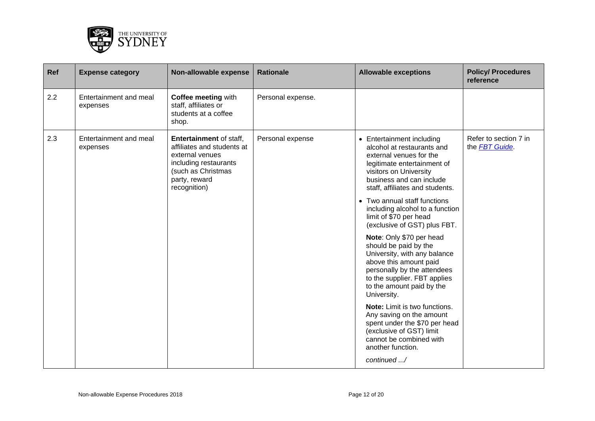

| Ref | <b>Expense category</b>            | Non-allowable expense                                                                                                                                    | <b>Rationale</b>  | <b>Allowable exceptions</b>                                                                                                                                                                                                                                                                                                                                                                                                                                                                                                                                                                                                                                                                                                               | <b>Policy/ Procedures</b><br>reference         |
|-----|------------------------------------|----------------------------------------------------------------------------------------------------------------------------------------------------------|-------------------|-------------------------------------------------------------------------------------------------------------------------------------------------------------------------------------------------------------------------------------------------------------------------------------------------------------------------------------------------------------------------------------------------------------------------------------------------------------------------------------------------------------------------------------------------------------------------------------------------------------------------------------------------------------------------------------------------------------------------------------------|------------------------------------------------|
| 2.2 | Entertainment and meal<br>expenses | <b>Coffee meeting with</b><br>staff, affiliates or<br>students at a coffee<br>shop.                                                                      | Personal expense. |                                                                                                                                                                                                                                                                                                                                                                                                                                                                                                                                                                                                                                                                                                                                           |                                                |
| 2.3 | Entertainment and meal<br>expenses | Entertainment of staff,<br>affiliates and students at<br>external venues<br>including restaurants<br>(such as Christmas<br>party, reward<br>recognition) | Personal expense  | • Entertainment including<br>alcohol at restaurants and<br>external venues for the<br>legitimate entertainment of<br>visitors on University<br>business and can include<br>staff, affiliates and students.<br>Two annual staff functions<br>including alcohol to a function<br>limit of \$70 per head<br>(exclusive of GST) plus FBT.<br>Note: Only \$70 per head<br>should be paid by the<br>University, with any balance<br>above this amount paid<br>personally by the attendees<br>to the supplier. FBT applies<br>to the amount paid by the<br>University.<br>Note: Limit is two functions.<br>Any saving on the amount<br>spent under the \$70 per head<br>(exclusive of GST) limit<br>cannot be combined with<br>another function. | Refer to section 7 in<br>the <b>FBT</b> Guide. |
|     |                                    |                                                                                                                                                          |                   | continued /                                                                                                                                                                                                                                                                                                                                                                                                                                                                                                                                                                                                                                                                                                                               |                                                |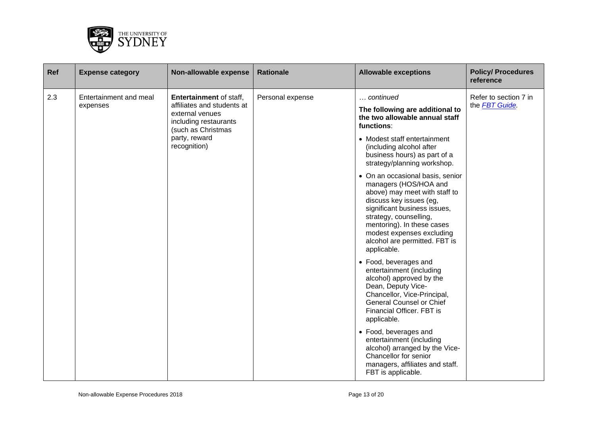

| Ref | <b>Expense category</b>                                                                                                                                                                               | Non-allowable expense | <b>Rationale</b>                                                                                                                                                                                                                                                                           | <b>Allowable exceptions</b>                                                                                                                                           | <b>Policy/ Procedures</b><br>reference |
|-----|-------------------------------------------------------------------------------------------------------------------------------------------------------------------------------------------------------|-----------------------|--------------------------------------------------------------------------------------------------------------------------------------------------------------------------------------------------------------------------------------------------------------------------------------------|-----------------------------------------------------------------------------------------------------------------------------------------------------------------------|----------------------------------------|
| 2.3 | Entertainment and meal<br><b>Entertainment of staff,</b><br>affiliates and students at<br>expenses<br>external venues<br>including restaurants<br>(such as Christmas<br>party, reward<br>recognition) | Personal expense      | continued<br>The following are additional to<br>the two allowable annual staff<br>functions:                                                                                                                                                                                               | Refer to section 7 in<br>the FBT Guide.                                                                                                                               |                                        |
|     |                                                                                                                                                                                                       |                       | • Modest staff entertainment<br>(including alcohol after<br>business hours) as part of a<br>strategy/planning workshop.                                                                                                                                                                    |                                                                                                                                                                       |                                        |
|     |                                                                                                                                                                                                       |                       | • On an occasional basis, senior<br>managers (HOS/HOA and<br>above) may meet with staff to<br>discuss key issues (eg,<br>significant business issues,<br>strategy, counselling,<br>mentoring). In these cases<br>modest expenses excluding<br>alcohol are permitted. FBT is<br>applicable. |                                                                                                                                                                       |                                        |
|     |                                                                                                                                                                                                       |                       | • Food, beverages and<br>entertainment (including<br>alcohol) approved by the<br>Dean, Deputy Vice-<br>Chancellor, Vice-Principal,<br><b>General Counsel or Chief</b><br>Financial Officer. FBT is<br>applicable.                                                                          |                                                                                                                                                                       |                                        |
|     |                                                                                                                                                                                                       |                       |                                                                                                                                                                                                                                                                                            | • Food, beverages and<br>entertainment (including<br>alcohol) arranged by the Vice-<br>Chancellor for senior<br>managers, affiliates and staff.<br>FBT is applicable. |                                        |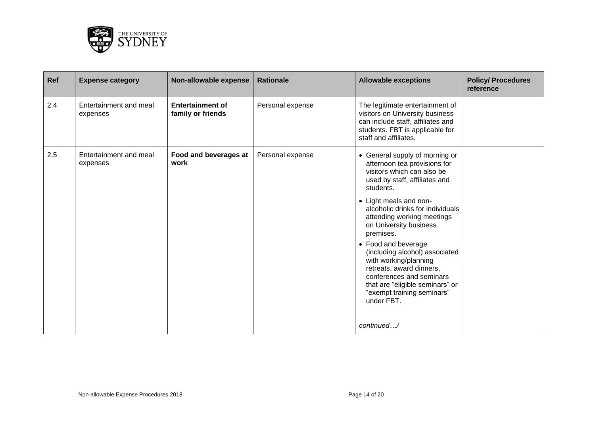

| <b>Ref</b> | <b>Expense category</b>            | Non-allowable expense                        | <b>Rationale</b> | <b>Allowable exceptions</b>                                                                                                                                                                                           | <b>Policy/ Procedures</b><br>reference |
|------------|------------------------------------|----------------------------------------------|------------------|-----------------------------------------------------------------------------------------------------------------------------------------------------------------------------------------------------------------------|----------------------------------------|
| 2.4        | Entertainment and meal<br>expenses | <b>Entertainment of</b><br>family or friends | Personal expense | The legitimate entertainment of<br>visitors on University business<br>can include staff, affiliates and<br>students. FBT is applicable for<br>staff and affiliates.                                                   |                                        |
| 2.5        | Entertainment and meal<br>expenses | Food and beverages at<br>work                | Personal expense | • General supply of morning or<br>afternoon tea provisions for<br>visitors which can also be<br>used by staff, affiliates and<br>students.                                                                            |                                        |
|            |                                    |                                              |                  | • Light meals and non-<br>alcoholic drinks for individuals<br>attending working meetings<br>on University business<br>premises.                                                                                       |                                        |
|            |                                    |                                              |                  | • Food and beverage<br>(including alcohol) associated<br>with working/planning<br>retreats, award dinners,<br>conferences and seminars<br>that are "eligible seminars" or<br>"exempt training seminars"<br>under FBT. |                                        |
|            |                                    |                                              |                  | continued/                                                                                                                                                                                                            |                                        |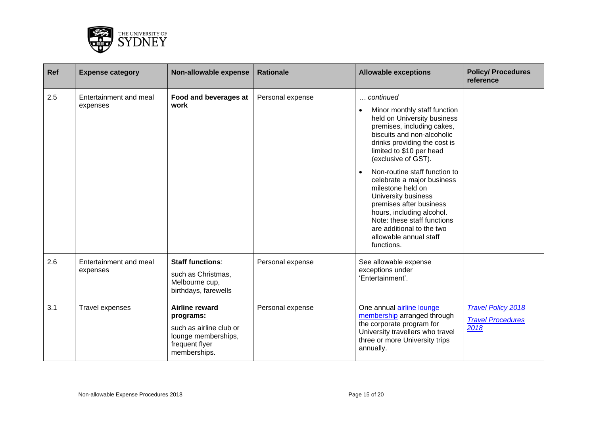

| <b>Ref</b> | <b>Expense category</b>            | Non-allowable expense                                                                                           | <b>Rationale</b> | <b>Allowable exceptions</b>                                                                                                                                                                                                                                                                                                                                                                                                                                                                                 | <b>Policy/ Procedures</b><br>reference                        |
|------------|------------------------------------|-----------------------------------------------------------------------------------------------------------------|------------------|-------------------------------------------------------------------------------------------------------------------------------------------------------------------------------------------------------------------------------------------------------------------------------------------------------------------------------------------------------------------------------------------------------------------------------------------------------------------------------------------------------------|---------------------------------------------------------------|
| 2.5        | Entertainment and meal<br>expenses | Food and beverages at<br>work                                                                                   | Personal expense | continued<br>$\ddotsc$<br>Minor monthly staff function<br>held on University business<br>premises, including cakes,<br>biscuits and non-alcoholic<br>drinks providing the cost is<br>limited to \$10 per head<br>(exclusive of GST).<br>Non-routine staff function to<br>celebrate a major business<br>milestone held on<br>University business<br>premises after business<br>hours, including alcohol.<br>Note: these staff functions<br>are additional to the two<br>allowable annual staff<br>functions. |                                                               |
| 2.6        | Entertainment and meal<br>expenses | <b>Staff functions:</b><br>such as Christmas,<br>Melbourne cup,<br>birthdays, farewells                         | Personal expense | See allowable expense<br>exceptions under<br>'Entertainment'.                                                                                                                                                                                                                                                                                                                                                                                                                                               |                                                               |
| 3.1        | Travel expenses                    | Airline reward<br>programs:<br>such as airline club or<br>lounge memberships,<br>frequent flyer<br>memberships. | Personal expense | One annual airline lounge<br>membership arranged through<br>the corporate program for<br>University travellers who travel<br>three or more University trips<br>annually.                                                                                                                                                                                                                                                                                                                                    | <b>Travel Policy 2018</b><br><b>Travel Procedures</b><br>2018 |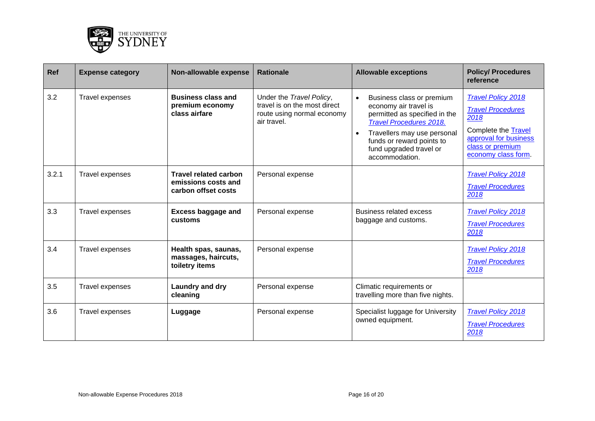

| <b>Ref</b> | <b>Expense category</b> | Non-allowable expense                                                      | <b>Rationale</b>                                                                                      | <b>Allowable exceptions</b>                                                                                                                                                                                                    | <b>Policy/ Procedures</b><br>reference                                                                                                                   |
|------------|-------------------------|----------------------------------------------------------------------------|-------------------------------------------------------------------------------------------------------|--------------------------------------------------------------------------------------------------------------------------------------------------------------------------------------------------------------------------------|----------------------------------------------------------------------------------------------------------------------------------------------------------|
| 3.2        | Travel expenses         | <b>Business class and</b><br>premium economy<br>class airfare              | Under the Travel Policy,<br>travel is on the most direct<br>route using normal economy<br>air travel. | Business class or premium<br>economy air travel is<br>permitted as specified in the<br><b>Travel Procedures 2018.</b><br>Travellers may use personal<br>funds or reward points to<br>fund upgraded travel or<br>accommodation. | <b>Travel Policy 2018</b><br><b>Travel Procedures</b><br>2018<br>Complete the Travel<br>approval for business<br>class or premium<br>economy class form. |
| 3.2.1      | Travel expenses         | <b>Travel related carbon</b><br>emissions costs and<br>carbon offset costs | Personal expense                                                                                      |                                                                                                                                                                                                                                | <b>Travel Policy 2018</b><br><b>Travel Procedures</b><br>2018                                                                                            |
| 3.3        | Travel expenses         | <b>Excess baggage and</b><br>customs                                       | Personal expense                                                                                      | <b>Business related excess</b><br>baggage and customs.                                                                                                                                                                         | <b>Travel Policy 2018</b><br><b>Travel Procedures</b><br>2018                                                                                            |
| 3.4        | Travel expenses         | Health spas, saunas,<br>massages, haircuts,<br>toiletry items              | Personal expense                                                                                      |                                                                                                                                                                                                                                | <b>Travel Policy 2018</b><br><b>Travel Procedures</b><br>2018                                                                                            |
| 3.5        | Travel expenses         | Laundry and dry<br>cleaning                                                | Personal expense                                                                                      | Climatic requirements or<br>travelling more than five nights.                                                                                                                                                                  |                                                                                                                                                          |
| 3.6        | Travel expenses         | Luggage                                                                    | Personal expense                                                                                      | Specialist luggage for University<br>owned equipment.                                                                                                                                                                          | <b>Travel Policy 2018</b><br><b>Travel Procedures</b><br>2018                                                                                            |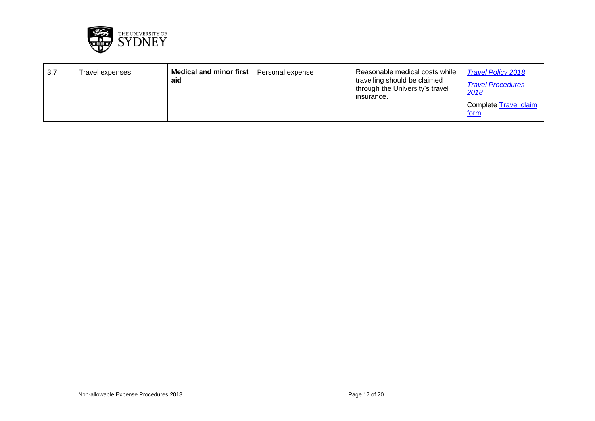

| 3.7 | Travel expenses | Medical and minor first<br>aid | Personal expense | Reasonable medical costs while<br>travelling should be claimed<br>through the University's travel<br>insurance. | <b>Travel Policy 2018</b><br><b>Travel Procedures</b><br>2018<br>Complete Travel claim<br><u>form</u> |
|-----|-----------------|--------------------------------|------------------|-----------------------------------------------------------------------------------------------------------------|-------------------------------------------------------------------------------------------------------|
|-----|-----------------|--------------------------------|------------------|-----------------------------------------------------------------------------------------------------------------|-------------------------------------------------------------------------------------------------------|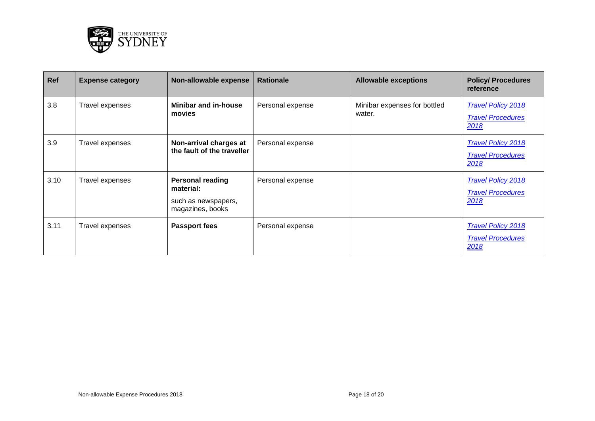

| Ref  | <b>Expense category</b> | Non-allowable expense                                                           | <b>Rationale</b> | <b>Allowable exceptions</b>            | <b>Policy/ Procedures</b><br>reference                        |
|------|-------------------------|---------------------------------------------------------------------------------|------------------|----------------------------------------|---------------------------------------------------------------|
| 3.8  | Travel expenses         | Minibar and in-house<br>movies                                                  | Personal expense | Minibar expenses for bottled<br>water. | <b>Travel Policy 2018</b><br><b>Travel Procedures</b><br>2018 |
| 3.9  | Travel expenses         | Non-arrival charges at<br>the fault of the traveller                            | Personal expense |                                        | <b>Travel Policy 2018</b><br><b>Travel Procedures</b><br>2018 |
| 3.10 | Travel expenses         | <b>Personal reading</b><br>material:<br>such as newspapers,<br>magazines, books | Personal expense |                                        | <b>Travel Policy 2018</b><br><b>Travel Procedures</b><br>2018 |
| 3.11 | Travel expenses         | <b>Passport fees</b>                                                            | Personal expense |                                        | <b>Travel Policy 2018</b><br><b>Travel Procedures</b><br>2018 |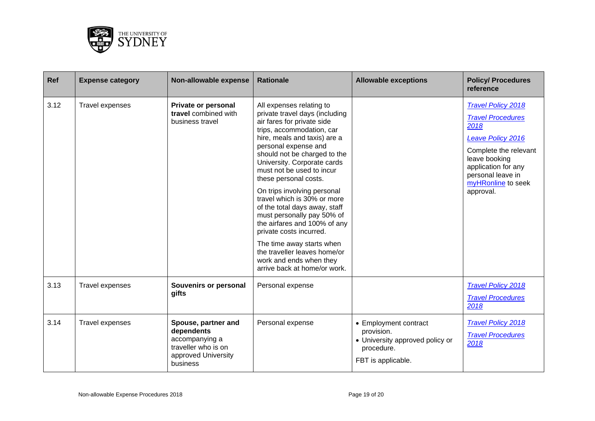

| <b>Ref</b> | <b>Expense category</b> | Non-allowable expense                                                                                         | <b>Rationale</b>                                                                                                                                                                                                                                                                                                                                                                                                                                                                                                                                                                                                   | <b>Allowable exceptions</b>                                                                                | <b>Policy/ Procedures</b><br>reference                                                                                                                                                                      |
|------------|-------------------------|---------------------------------------------------------------------------------------------------------------|--------------------------------------------------------------------------------------------------------------------------------------------------------------------------------------------------------------------------------------------------------------------------------------------------------------------------------------------------------------------------------------------------------------------------------------------------------------------------------------------------------------------------------------------------------------------------------------------------------------------|------------------------------------------------------------------------------------------------------------|-------------------------------------------------------------------------------------------------------------------------------------------------------------------------------------------------------------|
| 3.12       | Travel expenses         | <b>Private or personal</b><br>travel combined with<br>business travel                                         | All expenses relating to<br>private travel days (including<br>air fares for private side<br>trips, accommodation, car<br>hire, meals and taxis) are a<br>personal expense and<br>should not be charged to the<br>University. Corporate cards<br>must not be used to incur<br>these personal costs.<br>On trips involving personal<br>travel which is 30% or more<br>of the total days away, staff<br>must personally pay 50% of<br>the airfares and 100% of any<br>private costs incurred.<br>The time away starts when<br>the traveller leaves home/or<br>work and ends when they<br>arrive back at home/or work. |                                                                                                            | <b>Travel Policy 2018</b><br><b>Travel Procedures</b><br>2018<br>Leave Policy 2016<br>Complete the relevant<br>leave booking<br>application for any<br>personal leave in<br>myHRonline to seek<br>approval. |
| 3.13       | Travel expenses         | Souvenirs or personal<br>gifts                                                                                | Personal expense                                                                                                                                                                                                                                                                                                                                                                                                                                                                                                                                                                                                   |                                                                                                            | <b>Travel Policy 2018</b><br><b>Travel Procedures</b><br>2018                                                                                                                                               |
| 3.14       | Travel expenses         | Spouse, partner and<br>dependents<br>accompanying a<br>traveller who is on<br>approved University<br>business | Personal expense                                                                                                                                                                                                                                                                                                                                                                                                                                                                                                                                                                                                   | • Employment contract<br>provision.<br>• University approved policy or<br>procedure.<br>FBT is applicable. | <b>Travel Policy 2018</b><br><b>Travel Procedures</b><br>2018                                                                                                                                               |